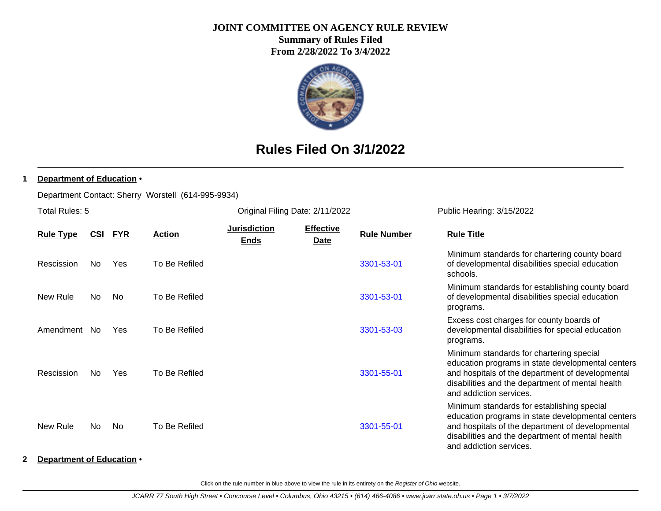### **JOINT COMMITTEE ON AGENCY RULE REVIEW**

**Summary of Rules Filed From 2/28/2022 To 3/4/2022**



# **Rules Filed On 3/1/2022**

### **1 Department of Education** •

Department Contact: Sherry Worstell (614-995-9934)

| Total Rules: 5   |            |            |               |                             | Original Filing Date: 2/11/2022 |                    | Public Hearing: 3/15/2022                                                                                                                                                                                                          |  |
|------------------|------------|------------|---------------|-----------------------------|---------------------------------|--------------------|------------------------------------------------------------------------------------------------------------------------------------------------------------------------------------------------------------------------------------|--|
| <b>Rule Type</b> | <u>CSI</u> | <u>FYR</u> | <b>Action</b> | Jurisdiction<br><b>Ends</b> | <b>Effective</b><br><b>Date</b> | <b>Rule Number</b> | <b>Rule Title</b>                                                                                                                                                                                                                  |  |
| Rescission       | No         | Yes        | To Be Refiled |                             |                                 | 3301-53-01         | Minimum standards for chartering county board<br>of developmental disabilities special education<br>schools.                                                                                                                       |  |
| New Rule         | No         | No         | To Be Refiled |                             |                                 | 3301-53-01         | Minimum standards for establishing county board<br>of developmental disabilities special education<br>programs.                                                                                                                    |  |
| Amendment        | No.        | <b>Yes</b> | To Be Refiled |                             |                                 | 3301-53-03         | Excess cost charges for county boards of<br>developmental disabilities for special education<br>programs.                                                                                                                          |  |
| Rescission       | No.        | <b>Yes</b> | To Be Refiled |                             |                                 | 3301-55-01         | Minimum standards for chartering special<br>education programs in state developmental centers<br>and hospitals of the department of developmental<br>disabilities and the department of mental health<br>and addiction services.   |  |
| New Rule         | No         | No         | To Be Refiled |                             |                                 | 3301-55-01         | Minimum standards for establishing special<br>education programs in state developmental centers<br>and hospitals of the department of developmental<br>disabilities and the department of mental health<br>and addiction services. |  |

### **2 Department of Education** •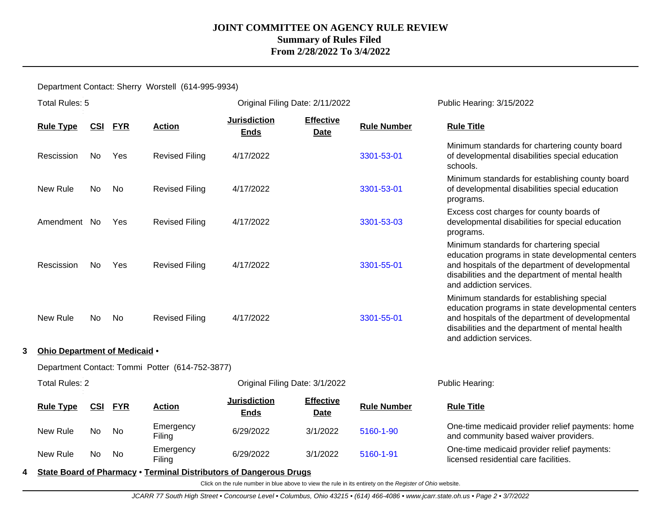Department Contact: Sherry Worstell (614-995-9934)

|   | Total Rules: 5                                  |            |            |                                                                    | Original Filing Date: 2/11/2022    |                                 |                    | Public Hearing: 3/15/2022                                                                                                                                                                                                          |  |  |
|---|-------------------------------------------------|------------|------------|--------------------------------------------------------------------|------------------------------------|---------------------------------|--------------------|------------------------------------------------------------------------------------------------------------------------------------------------------------------------------------------------------------------------------------|--|--|
|   | <b>Rule Type</b>                                | <u>CSI</u> | <b>FYR</b> | <b>Action</b>                                                      | <b>Jurisdiction</b><br><b>Ends</b> | <b>Effective</b><br><b>Date</b> | <b>Rule Number</b> | <b>Rule Title</b>                                                                                                                                                                                                                  |  |  |
|   | Rescission                                      | No.        | Yes        | <b>Revised Filing</b>                                              | 4/17/2022                          |                                 | 3301-53-01         | Minimum standards for chartering county board<br>of developmental disabilities special education<br>schools.                                                                                                                       |  |  |
|   | New Rule                                        | <b>No</b>  | No         | <b>Revised Filing</b>                                              | 4/17/2022                          |                                 | 3301-53-01         | Minimum standards for establishing county board<br>of developmental disabilities special education<br>programs.                                                                                                                    |  |  |
|   | Amendment No                                    |            | Yes        | <b>Revised Filing</b>                                              | 4/17/2022                          |                                 | 3301-53-03         | Excess cost charges for county boards of<br>developmental disabilities for special education<br>programs.                                                                                                                          |  |  |
|   | Rescission                                      | No         | Yes        | <b>Revised Filing</b>                                              | 4/17/2022                          |                                 | 3301-55-01         | Minimum standards for chartering special<br>education programs in state developmental centers<br>and hospitals of the department of developmental<br>disabilities and the department of mental health<br>and addiction services.   |  |  |
|   | New Rule                                        | No         | No         | <b>Revised Filing</b>                                              | 4/17/2022                          |                                 | 3301-55-01         | Minimum standards for establishing special<br>education programs in state developmental centers<br>and hospitals of the department of developmental<br>disabilities and the department of mental health<br>and addiction services. |  |  |
| 3 | Ohio Department of Medicaid .                   |            |            |                                                                    |                                    |                                 |                    |                                                                                                                                                                                                                                    |  |  |
|   | Department Contact: Tommi Potter (614-752-3877) |            |            |                                                                    |                                    |                                 |                    |                                                                                                                                                                                                                                    |  |  |
|   | <b>Total Rules: 2</b>                           |            |            |                                                                    | Original Filing Date: 3/1/2022     |                                 |                    | Public Hearing:                                                                                                                                                                                                                    |  |  |
|   | <b>Rule Type</b>                                | CSI        | <b>FYR</b> | <b>Action</b>                                                      | <b>Jurisdiction</b><br><b>Ends</b> | <b>Effective</b><br><b>Date</b> | <b>Rule Number</b> | <b>Rule Title</b>                                                                                                                                                                                                                  |  |  |
|   | New Rule                                        | No         | No         | Emergency<br>Filing                                                | 6/29/2022                          | 3/1/2022                        | 5160-1-90          | One-time medicaid provider relief payments: home<br>and community based waiver providers.                                                                                                                                          |  |  |
|   | New Rule                                        | No         | No         | Emergency<br>Filing                                                | 6/29/2022                          | 3/1/2022                        | 5160-1-91          | One-time medicaid provider relief payments:<br>licensed residential care facilities.                                                                                                                                               |  |  |
| 4 |                                                 |            |            | State Board of Pharmacy . Terminal Distributors of Dangerous Drugs |                                    |                                 |                    |                                                                                                                                                                                                                                    |  |  |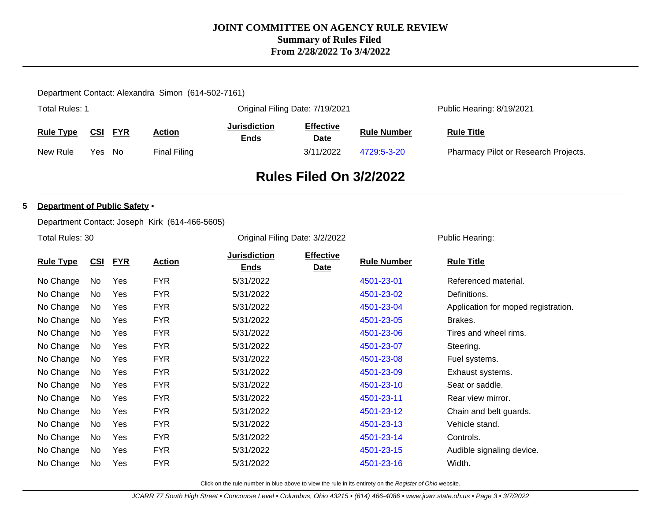### Department Contact: Alexandra Simon (614-502-7161)

| <b>Total Rules: 1</b> |     |            |              | Original Filing Date: 7/19/2021    |                          |                    | Public Hearing: 8/19/2021            |  |
|-----------------------|-----|------------|--------------|------------------------------------|--------------------------|--------------------|--------------------------------------|--|
| <b>Rule Type</b>      | CSI | <b>FYR</b> | Action       | <b>Jurisdiction</b><br><u>Ends</u> | <b>Effective</b><br>Date | <b>Rule Number</b> | <b>Rule Title</b>                    |  |
| New Rule              | Yes | No         | Final Filing |                                    | 3/11/2022                | 4729:5-3-20        | Pharmacy Pilot or Research Projects. |  |

# **Rules Filed On 3/2/2022**

#### **5 Department of Public Safety** •

Department Contact: Joseph Kirk (614-466-5605)

Total Rules: 30

Original Filing Date: 3/2/2022 Public Hearing:

| <b>Rule Type</b> | <b>CSI</b> | <b>FYR</b> | <b>Action</b> | <b>Jurisdiction</b><br><b>Ends</b> | <b>Effective</b><br><b>Date</b> | <b>Rule Number</b> | <b>Rule Title</b>                   |
|------------------|------------|------------|---------------|------------------------------------|---------------------------------|--------------------|-------------------------------------|
| No Change        | No         | Yes        | <b>FYR</b>    | 5/31/2022                          |                                 | 4501-23-01         | Referenced material.                |
| No Change        | No         | Yes        | <b>FYR</b>    | 5/31/2022                          |                                 | 4501-23-02         | Definitions.                        |
| No Change        | No         | Yes        | <b>FYR</b>    | 5/31/2022                          |                                 | 4501-23-04         | Application for moped registration. |
| No Change        | No         | Yes        | <b>FYR</b>    | 5/31/2022                          |                                 | 4501-23-05         | Brakes.                             |
| No Change        | No         | Yes        | <b>FYR</b>    | 5/31/2022                          |                                 | 4501-23-06         | Tires and wheel rims.               |
| No Change        | No         | Yes        | <b>FYR</b>    | 5/31/2022                          |                                 | 4501-23-07         | Steering.                           |
| No Change        | No         | Yes        | <b>FYR</b>    | 5/31/2022                          |                                 | 4501-23-08         | Fuel systems.                       |
| No Change        | No         | Yes        | <b>FYR</b>    | 5/31/2022                          |                                 | 4501-23-09         | Exhaust systems.                    |
| No Change        | No         | Yes        | <b>FYR</b>    | 5/31/2022                          |                                 | 4501-23-10         | Seat or saddle.                     |
| No Change        | No         | Yes        | <b>FYR</b>    | 5/31/2022                          |                                 | 4501-23-11         | Rear view mirror.                   |
| No Change        | <b>No</b>  | Yes        | <b>FYR</b>    | 5/31/2022                          |                                 | 4501-23-12         | Chain and belt guards.              |
| No Change        | No         | Yes        | <b>FYR</b>    | 5/31/2022                          |                                 | 4501-23-13         | Vehicle stand.                      |
| No Change        | No         | Yes        | <b>FYR</b>    | 5/31/2022                          |                                 | 4501-23-14         | Controls.                           |
| No Change        | No         | Yes        | <b>FYR</b>    | 5/31/2022                          |                                 | 4501-23-15         | Audible signaling device.           |
| No Change        | <b>No</b>  | Yes        | <b>FYR</b>    | 5/31/2022                          |                                 | 4501-23-16         | Width.                              |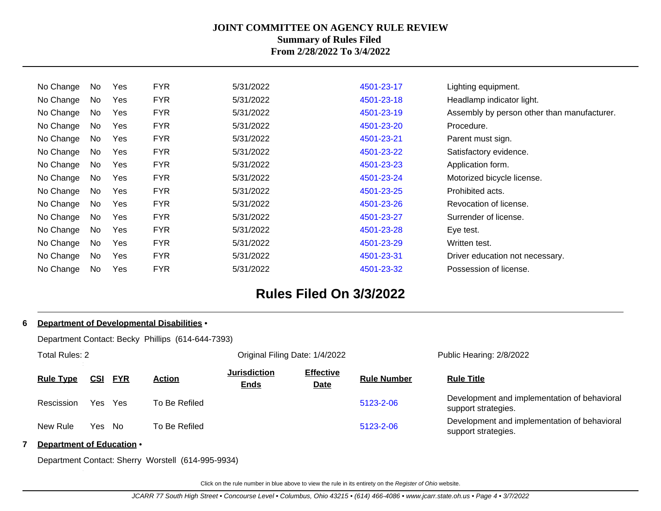| No. | Yes | <b>FYR</b> | 5/31/2022 | 4501-23-17 | Lighting equipment.                         |
|-----|-----|------------|-----------|------------|---------------------------------------------|
| No  | Yes | <b>FYR</b> | 5/31/2022 | 4501-23-18 | Headlamp indicator light.                   |
| No  | Yes | <b>FYR</b> | 5/31/2022 | 4501-23-19 | Assembly by person other than manufacturer. |
| No  | Yes | <b>FYR</b> | 5/31/2022 | 4501-23-20 | Procedure.                                  |
| No  | Yes | <b>FYR</b> | 5/31/2022 | 4501-23-21 | Parent must sign.                           |
| No  | Yes | <b>FYR</b> | 5/31/2022 | 4501-23-22 | Satisfactory evidence.                      |
| No  | Yes | <b>FYR</b> | 5/31/2022 | 4501-23-23 | Application form.                           |
| No  | Yes | <b>FYR</b> | 5/31/2022 | 4501-23-24 | Motorized bicycle license.                  |
| No. | Yes | <b>FYR</b> | 5/31/2022 | 4501-23-25 | Prohibited acts.                            |
| No  | Yes | <b>FYR</b> | 5/31/2022 | 4501-23-26 | Revocation of license.                      |
| No  | Yes | <b>FYR</b> | 5/31/2022 | 4501-23-27 | Surrender of license.                       |
| No  | Yes | <b>FYR</b> | 5/31/2022 | 4501-23-28 | Eye test.                                   |
| No  | Yes | <b>FYR</b> | 5/31/2022 | 4501-23-29 | Written test.                               |
| No. | Yes | <b>FYR</b> | 5/31/2022 | 4501-23-31 | Driver education not necessary.             |
| No  | Yes | <b>FYR</b> | 5/31/2022 | 4501-23-32 | Possession of license.                      |
|     |     |            |           |            |                                             |

# **Rules Filed On 3/3/2022**

| 6 Department of Developmental Disabilities .      |            |            |               |                                    |                                 |                    |                                                                     |  |  |  |
|---------------------------------------------------|------------|------------|---------------|------------------------------------|---------------------------------|--------------------|---------------------------------------------------------------------|--|--|--|
| Department Contact: Becky Phillips (614-644-7393) |            |            |               |                                    |                                 |                    |                                                                     |  |  |  |
| Total Rules: 2                                    |            |            |               | Original Filing Date: 1/4/2022     |                                 |                    | Public Hearing: 2/8/2022                                            |  |  |  |
| <b>Rule Type</b>                                  | <u>CSI</u> | <b>FYR</b> | <b>Action</b> | <b>Jurisdiction</b><br><b>Ends</b> | <b>Effective</b><br><b>Date</b> | <b>Rule Number</b> | <b>Rule Title</b>                                                   |  |  |  |
| Rescission                                        | Yes        | Yes        | To Be Refiled |                                    |                                 | 5123-2-06          | Development and implementation of behavioral<br>support strategies. |  |  |  |
| New Rule                                          | Yes No     |            | To Be Refiled |                                    |                                 | 5123-2-06          | Development and implementation of behavioral<br>support strategies. |  |  |  |
| Department of Education •                         |            |            |               |                                    |                                 |                    |                                                                     |  |  |  |

Department Contact: Sherry Worstell (614-995-9934)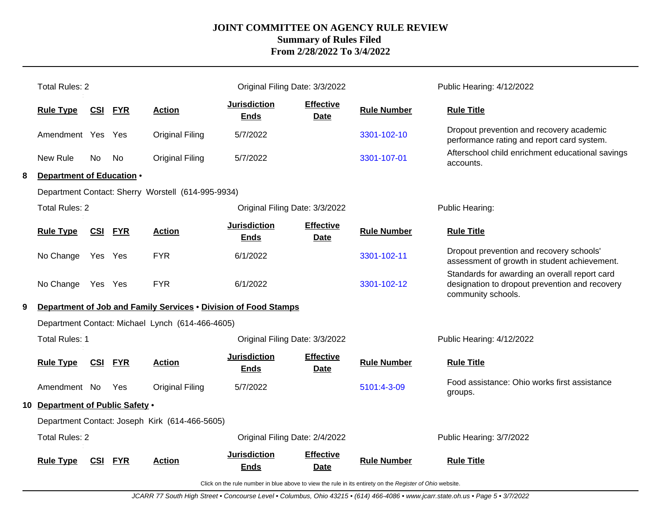|   | <b>Total Rules: 2</b>            |                |            |                                                                 | Original Filing Date: 3/3/2022     |                                 |                    | Public Hearing: 4/12/2022                                                                                             |
|---|----------------------------------|----------------|------------|-----------------------------------------------------------------|------------------------------------|---------------------------------|--------------------|-----------------------------------------------------------------------------------------------------------------------|
|   | <b>Rule Type</b>                 | <u>CSI</u>     | <b>FYR</b> | <b>Action</b>                                                   | <b>Jurisdiction</b><br><b>Ends</b> | <b>Effective</b><br><b>Date</b> | <b>Rule Number</b> | <b>Rule Title</b>                                                                                                     |
|   | Amendment Yes Yes                |                |            | <b>Original Filing</b>                                          | 5/7/2022                           |                                 | 3301-102-10        | Dropout prevention and recovery academic<br>performance rating and report card system.                                |
|   | New Rule                         | No.            | No.        | <b>Original Filing</b>                                          | 5/7/2022                           |                                 | 3301-107-01        | Afterschool child enrichment educational savings<br>accounts.                                                         |
| 8 | Department of Education .        |                |            |                                                                 |                                    |                                 |                    |                                                                                                                       |
|   |                                  |                |            | Department Contact: Sherry Worstell (614-995-9934)              |                                    |                                 |                    |                                                                                                                       |
|   | <b>Total Rules: 2</b>            |                |            |                                                                 | Public Hearing:                    |                                 |                    |                                                                                                                       |
|   | <b>Rule Type</b>                 | <b>CSI FYR</b> |            | <b>Action</b>                                                   | <b>Jurisdiction</b><br><b>Ends</b> | <b>Effective</b><br><b>Date</b> | <b>Rule Number</b> | <b>Rule Title</b>                                                                                                     |
|   | No Change                        | Yes Yes        |            | <b>FYR</b>                                                      | 6/1/2022                           |                                 | 3301-102-11        | Dropout prevention and recovery schools'<br>assessment of growth in student achievement.                              |
|   | No Change Yes Yes                |                |            | <b>FYR</b>                                                      | 6/1/2022                           |                                 | 3301-102-12        | Standards for awarding an overall report card<br>designation to dropout prevention and recovery<br>community schools. |
| 9 |                                  |                |            | Department of Job and Family Services . Division of Food Stamps |                                    |                                 |                    |                                                                                                                       |
|   |                                  |                |            | Department Contact: Michael Lynch (614-466-4605)                |                                    |                                 |                    |                                                                                                                       |
|   | <b>Total Rules: 1</b>            |                |            |                                                                 | Original Filing Date: 3/3/2022     |                                 |                    | Public Hearing: 4/12/2022                                                                                             |
|   | <b>Rule Type</b>                 | <b>CSI FYR</b> |            | <b>Action</b>                                                   | <b>Jurisdiction</b><br><b>Ends</b> | <b>Effective</b><br><b>Date</b> | <b>Rule Number</b> | <b>Rule Title</b>                                                                                                     |
|   | Amendment No                     |                | <b>Yes</b> | <b>Original Filing</b>                                          | 5/7/2022                           |                                 | 5101:4-3-09        | Food assistance: Ohio works first assistance<br>groups.                                                               |
|   | 10 Department of Public Safety . |                |            |                                                                 |                                    |                                 |                    |                                                                                                                       |
|   |                                  |                |            | Department Contact: Joseph Kirk (614-466-5605)                  |                                    |                                 |                    |                                                                                                                       |
|   | <b>Total Rules: 2</b>            |                |            |                                                                 | Original Filing Date: 2/4/2022     |                                 |                    | Public Hearing: 3/7/2022                                                                                              |
|   | <b>Rule Type</b>                 | <b>CSI</b>     | <b>FYR</b> | Action                                                          | <b>Jurisdiction</b><br>Ends        | <b>Effective</b><br><b>Date</b> | <b>Rule Number</b> | <b>Rule Title</b>                                                                                                     |